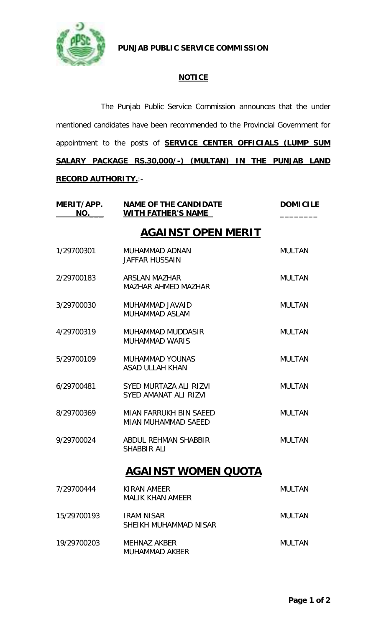

**PUNJAB PUBLIC SERVICE COMMISSION**

## **NOTICE**

The Punjab Public Service Commission announces that the under mentioned candidates have been recommended to the Provincial Government for appointment to the posts of **SERVICE CENTER OFFICIALS (LUMP SUM SALARY PACKAGE RS.30,000/-) (MULTAN) IN THE PUNJAB LAND RECORD AUTHORITY.**:-

| MERIT/APP.<br>NO. | <b>NAME OF THE CANDIDATE</b><br><b>WITH FATHER'S NAME</b> | <b>DOMICILE</b> |
|-------------------|-----------------------------------------------------------|-----------------|
|                   | <b>AGAINST OPEN MERIT</b>                                 |                 |
| 1/29700301        | MUHAMMAD ADNAN<br><b>JAFFAR HUSSAIN</b>                   | <b>MULTAN</b>   |
| 2/29700183        | ARSLAN MAZHAR<br><b>MAZHAR AHMED MAZHAR</b>               | <b>MULTAN</b>   |
| 3/29700030        | MUHAMMAD JAVAID<br>MUHAMMAD ASLAM                         | <b>MULTAN</b>   |
| 4/29700319        | <b>MUHAMMAD MUDDASIR</b><br><b>MUHAMMAD WARIS</b>         | <b>MULTAN</b>   |
| 5/29700109        | <b>MUHAMMAD YOUNAS</b><br><b>ASAD ULLAH KHAN</b>          | <b>MULTAN</b>   |
| 6/29700481        | SYED MURTAZA ALI RIZVI<br>SYED AMANAT ALI RIZVI           | <b>MULTAN</b>   |
| 8/29700369        | MIAN FARRUKH BIN SAEED<br><b>MIAN MUHAMMAD SAEED</b>      | <b>MULTAN</b>   |
| 9/29700024        | ABDUL REHMAN SHABBIR<br><b>SHABBIR ALI</b>                | <b>MULTAN</b>   |
|                   | <b>AGAINST WOMEN QUOTA</b>                                |                 |
| 7/29700444        | KIRAN AMEER<br><b>MALIK KHAN AMEER</b>                    | <b>MULTAN</b>   |
| 15/29700193       | <b>IRAM NISAR</b><br>SHEIKH MUHAMMAD NISAR                | <b>MULTAN</b>   |
| 19/29700203       | <b>MEHNAZ AKBER</b><br><b>MUHAMMAD AKBER</b>              | <b>MULTAN</b>   |